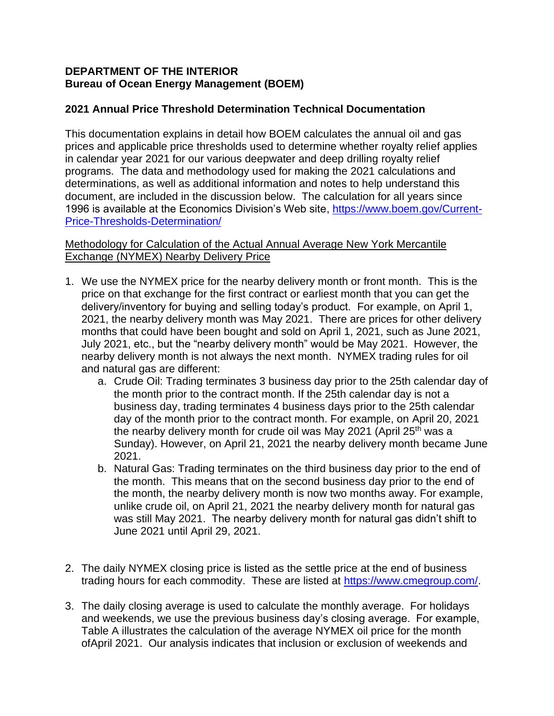### **DEPARTMENT OF THE INTERIOR Bureau of Ocean Energy Management (BOEM)**

# **2021 Annual Price Threshold Determination Technical Documentation**

This documentation explains in detail how BOEM calculates the annual oil and gas prices and applicable price thresholds used to determine whether royalty relief applies in calendar year 2021 for our various deepwater and deep drilling royalty relief programs. The data and methodology used for making the 2021 calculations and determinations, as well as additional information and notes to help understand this document, are included in the discussion below. The calculation for all years since 1996 is available at the Economics Division's Web site, [https://www.boem.gov/Current-](https://www.boem.gov/Current-Price-Thresholds-Determination/)[Price-Thresholds-Determination/](https://www.boem.gov/Current-Price-Thresholds-Determination/)

## Methodology for Calculation of the Actual Annual Average New York Mercantile Exchange (NYMEX) Nearby Delivery Price

- 1. We use the NYMEX price for the nearby delivery month or front month. This is the price on that exchange for the first contract or earliest month that you can get the delivery/inventory for buying and selling today's product. For example, on April 1, 2021, the nearby delivery month was May 2021. There are prices for other delivery months that could have been bought and sold on April 1, 2021, such as June 2021, July 2021, etc., but the "nearby delivery month" would be May 2021. However, the nearby delivery month is not always the next month. NYMEX trading rules for oil and natural gas are different:
	- a. Crude Oil: Trading terminates 3 business day prior to the 25th calendar day of the month prior to the contract month. If the 25th calendar day is not a business day, trading terminates 4 business days prior to the 25th calendar day of the month prior to the contract month. For example, on April 20, 2021 the nearby delivery month for crude oil was May 2021 (April 25<sup>th</sup> was a Sunday). However, on April 21, 2021 the nearby delivery month became June 2021.
	- b. Natural Gas: Trading terminates on the third business day prior to the end of the month. This means that on the second business day prior to the end of the month, the nearby delivery month is now two months away. For example, unlike crude oil, on April 21, 2021 the nearby delivery month for natural gas was still May 2021. The nearby delivery month for natural gas didn't shift to June 2021 until April 29, 2021.
- 2. The daily NYMEX closing price is listed as the settle price at the end of business trading hours for each commodity. These are listed at [https://www.cmegroup.com/.](https://www.cmegroup.com/)
- 3. The daily closing average is used to calculate the monthly average. For holidays and weekends, we use the previous business day's closing average. For example, Table A illustrates the calculation of the average NYMEX oil price for the month ofApril 2021. Our analysis indicates that inclusion or exclusion of weekends and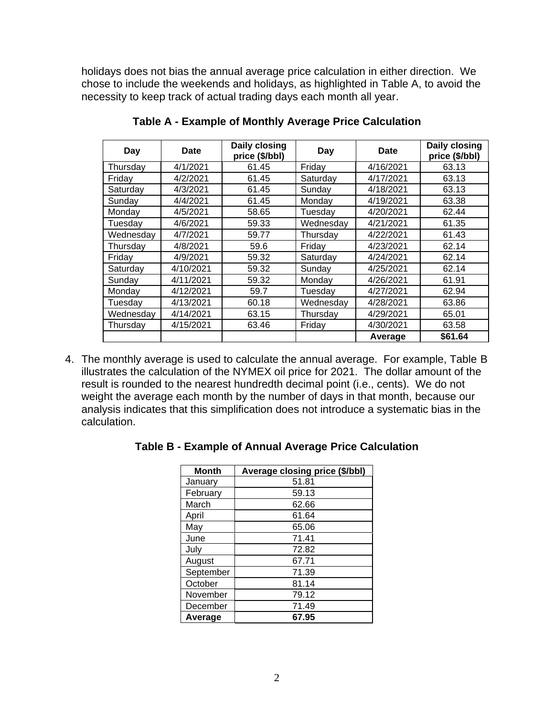holidays does not bias the annual average price calculation in either direction. We chose to include the weekends and holidays, as highlighted in Table A, to avoid the necessity to keep track of actual trading days each month all year.

| Day       | <b>Date</b> | Daily closing<br>price (\$/bbl) | Day       | Date      | Daily closing<br>price (\$/bbl) |
|-----------|-------------|---------------------------------|-----------|-----------|---------------------------------|
| Thursday  | 4/1/2021    | 61.45                           | Friday    | 4/16/2021 | 63.13                           |
| Friday    | 4/2/2021    | 61.45                           | Saturday  | 4/17/2021 | 63.13                           |
| Saturday  | 4/3/2021    | 61.45                           | Sunday    | 4/18/2021 | 63.13                           |
| Sunday    | 4/4/2021    | 61.45                           | Monday    | 4/19/2021 | 63.38                           |
| Monday    | 4/5/2021    | 58.65                           | Tuesdav   | 4/20/2021 | 62.44                           |
| Tuesdav   | 4/6/2021    | 59.33                           | Wednesday | 4/21/2021 | 61.35                           |
| Wednesday | 4/7/2021    | 59.77                           | Thursdav  | 4/22/2021 | 61.43                           |
| Thursday  | 4/8/2021    | 59.6                            | Friday    | 4/23/2021 | 62.14                           |
| Fridav    | 4/9/2021    | 59.32                           | Saturday  | 4/24/2021 | 62.14                           |
| Saturday  | 4/10/2021   | 59.32                           | Sunday    | 4/25/2021 | 62.14                           |
| Sunday    | 4/11/2021   | 59.32                           | Monday    | 4/26/2021 | 61.91                           |
| Monday    | 4/12/2021   | 59.7                            | Tuesday   | 4/27/2021 | 62.94                           |
| Tuesday   | 4/13/2021   | 60.18                           | Wednesdav | 4/28/2021 | 63.86                           |
| Wednesday | 4/14/2021   | 63.15                           | Thursday  | 4/29/2021 | 65.01                           |
| Thursday  | 4/15/2021   | 63.46                           | Friday    | 4/30/2021 | 63.58                           |
|           |             |                                 |           | Average   | \$61.64                         |

**Table A - Example of Monthly Average Price Calculation**

4. The monthly average is used to calculate the annual average. For example, Table B illustrates the calculation of the NYMEX oil price for 2021. The dollar amount of the result is rounded to the nearest hundredth decimal point (i.e., cents). We do not weight the average each month by the number of days in that month, because our analysis indicates that this simplification does not introduce a systematic bias in the calculation.

| <b>Month</b> | <b>Average closing price (\$/bbl)</b> |  |  |  |
|--------------|---------------------------------------|--|--|--|
| January      | 51.81                                 |  |  |  |
| February     | 59.13                                 |  |  |  |
| March        | 62.66                                 |  |  |  |
| April        | 61.64                                 |  |  |  |
| May          | 65.06                                 |  |  |  |
| June         | 71.41                                 |  |  |  |
| July         | 72.82                                 |  |  |  |
| August       | 67.71                                 |  |  |  |
| September    | 71.39                                 |  |  |  |
| October      | 81.14                                 |  |  |  |
| November     | 79.12                                 |  |  |  |
| December     | 71.49                                 |  |  |  |
| Average      | 67.95                                 |  |  |  |

|  |  | Table B - Example of Annual Average Price Calculation |
|--|--|-------------------------------------------------------|
|  |  |                                                       |
|  |  |                                                       |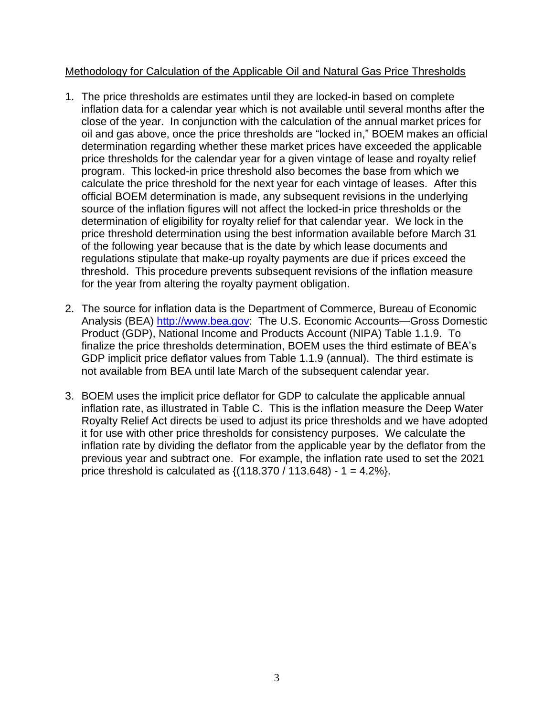## Methodology for Calculation of the Applicable Oil and Natural Gas Price Thresholds

- 1. The price thresholds are estimates until they are locked-in based on complete inflation data for a calendar year which is not available until several months after the close of the year. In conjunction with the calculation of the annual market prices for oil and gas above, once the price thresholds are "locked in," BOEM makes an official determination regarding whether these market prices have exceeded the applicable price thresholds for the calendar year for a given vintage of lease and royalty relief program. This locked-in price threshold also becomes the base from which we calculate the price threshold for the next year for each vintage of leases. After this official BOEM determination is made, any subsequent revisions in the underlying source of the inflation figures will not affect the locked-in price thresholds or the determination of eligibility for royalty relief for that calendar year. We lock in the price threshold determination using the best information available before March 31 of the following year because that is the date by which lease documents and regulations stipulate that make-up royalty payments are due if prices exceed the threshold. This procedure prevents subsequent revisions of the inflation measure for the year from altering the royalty payment obligation.
- 2. The source for inflation data is the Department of Commerce, Bureau of Economic Analysis (BEA) [http://www.bea.gov:](http://www.bea.gov/) The U.S. Economic Accounts—Gross Domestic Product (GDP), National Income and Products Account (NIPA) Table 1.1.9. To finalize the price thresholds determination, BOEM uses the third estimate of BEA's GDP implicit price deflator values from Table 1.1.9 (annual). The third estimate is not available from BEA until late March of the subsequent calendar year.
- 3. BOEM uses the implicit price deflator for GDP to calculate the applicable annual inflation rate, as illustrated in Table C. This is the inflation measure the Deep Water Royalty Relief Act directs be used to adjust its price thresholds and we have adopted it for use with other price thresholds for consistency purposes. We calculate the inflation rate by dividing the deflator from the applicable year by the deflator from the previous year and subtract one. For example, the inflation rate used to set the 2021 price threshold is calculated as  $\{(118.370 / 113.648) - 1 = 4.2\% \}.$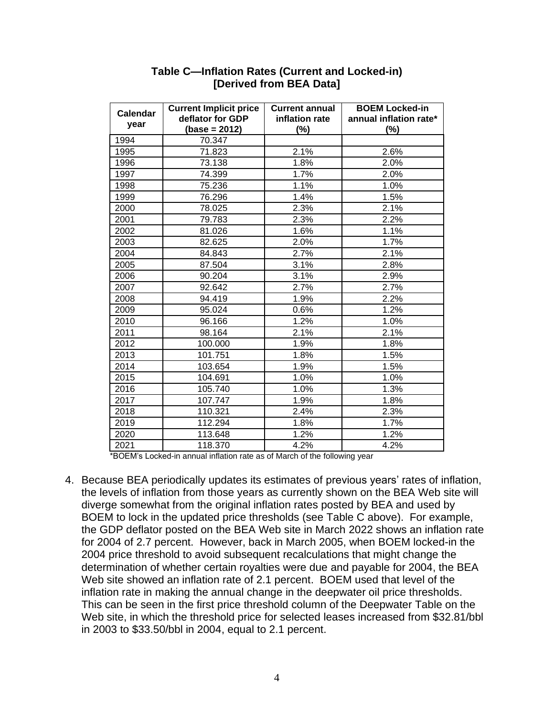| <b>Calendar</b> | <b>Current Implicit price</b>       | <b>Current annual</b> | <b>BOEM Locked-in</b>         |
|-----------------|-------------------------------------|-----------------------|-------------------------------|
| year            | deflator for GDP<br>$(base = 2012)$ | inflation rate<br>(%) | annual inflation rate*<br>(%) |
| 1994            | 70.347                              |                       |                               |
| 1995            | 71.823                              | 2.1%                  | 2.6%                          |
| 1996            | 73.138                              | 1.8%                  | 2.0%                          |
| 1997            | 74.399                              | 1.7%                  | 2.0%                          |
| 1998            | 75.236                              | 1.1%                  | 1.0%                          |
| 1999            | 76.296                              | 1.4%                  | 1.5%                          |
| 2000            | 78.025                              | 2.3%                  | 2.1%                          |
| 2001            | 79.783                              | 2.3%                  | 2.2%                          |
| 2002            | 81.026                              | 1.6%                  | 1.1%                          |
| 2003            | 82.625                              | 2.0%                  | 1.7%                          |
| 2004            | 84.843                              | 2.7%                  | 2.1%                          |
| 2005            | 87.504                              | 3.1%                  | 2.8%                          |
| 2006            | 90.204                              | 3.1%                  | 2.9%                          |
| 2007            | 92.642                              | 2.7%                  | 2.7%                          |
| 2008            | 94.419                              | 1.9%                  | 2.2%                          |
| 2009            | 95.024                              | 0.6%                  | 1.2%                          |
| 2010            | 96.166                              | 1.2%                  | 1.0%                          |
| 2011            | 98.164                              | 2.1%                  | 2.1%                          |
| 2012            | 100.000                             | 1.9%                  | 1.8%                          |
| 2013            | 101.751                             | 1.8%                  | 1.5%                          |
| 2014            | 103.654                             | 1.9%                  | 1.5%                          |
| 2015            | 104.691                             | 1.0%                  | 1.0%                          |
| 2016            | 105.740                             | 1.0%                  | 1.3%                          |
| 2017            | 107.747                             | 1.9%                  | 1.8%                          |
| 2018            | 110.321                             | 2.4%                  | 2.3%                          |
| 2019            | 112.294                             | 1.8%                  | 1.7%                          |
| 2020            | 113.648                             | 1.2%                  | 1.2%                          |
| 2021            | 118.370                             | 4.2%                  | 4.2%                          |

#### **Table C—Inflation Rates (Current and Locked-in) [Derived from BEA Data]**

\*BOEM's Locked-in annual inflation rate as of March of the following year

4. Because BEA periodically updates its estimates of previous years' rates of inflation, the levels of inflation from those years as currently shown on the BEA Web site will diverge somewhat from the original inflation rates posted by BEA and used by BOEM to lock in the updated price thresholds (see Table C above). For example, the GDP deflator posted on the BEA Web site in March 2022 shows an inflation rate for 2004 of 2.7 percent. However, back in March 2005, when BOEM locked-in the 2004 price threshold to avoid subsequent recalculations that might change the determination of whether certain royalties were due and payable for 2004, the BEA Web site showed an inflation rate of 2.1 percent. BOEM used that level of the inflation rate in making the annual change in the deepwater oil price thresholds. This can be seen in the first price threshold column of the Deepwater Table on the Web site, in which the threshold price for selected leases increased from \$32.81/bbl in 2003 to \$33.50/bbl in 2004, equal to 2.1 percent.